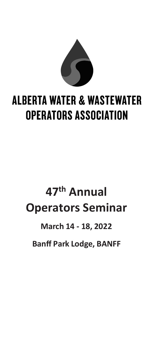

# **ALBERTA WATER & WASTEWATER OPERATORS ASSOCIATION**

# **47th Annual Operators Seminar**

## **March 14 - 18, 2022**

**Banff Park Lodge, BANFF**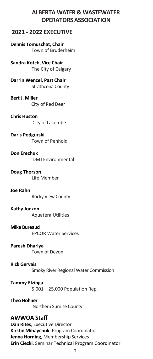## **ALBERTA WATER & WASTEWATER OPERATORS ASSOCIATION**

## **2021 - 2022 EXECUTIVE**

**Dennis Tomuschat, Chair** Town of Bruderheim

**Sandra Kotch, Vice Chair** The City of Calgary

**Darrin Wenzel, Past Chair** Strathcona County

**Bert J. Miller** City of Red Deer

**Chris Huston** City of Lacombe

**Daris Podgurski** Town of Penhold

**Don Erechuk** DMJ Environmental

**Doug Thorson** Life Member

**Joe Rahn** Rocky View County

**Kathy Jonzon** Aquatera Utilities

**Mike Bureaud** EPCOR Water Services

**Paresh Dhariya** Town of Devon

**Rick Gervais** Smoky River Regional Water Commission

**Tammy Elzinga** 5,001 – 25,000 Population Rep.

**Theo Hohner** Northern Sunrise County

## **AWWOA Staff**

**Dan Rites**, Executive Director **Kirstin Mihaychuk**, Program Coordinator **Jenna Horning**, Membership Services **Erin Ciezki**, Seminar Technical Program Coordinator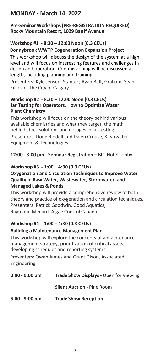## **MONDAY - March 14, 2022**

#### **Pre-Seminar Workshops (PRE-REGISTRATION REQUIRED) Rocky Mountain Resort, 1029 Banff Avenue**

### **Workshop #1 - 8:30 – 12:00 Noon (0.3 CEUs)**

### **Bonnybrook WWTP Cogeneration Expansion Project**

This workshop will discuss the design of the system at a high level and will focus on interesting features and challenges in design and operation. Commissioning will be discussed at length, including planning and training.

Presenters: Kyle Jensen, Stantec; Ryan Balt, Graham; Sean Killoran, The City of Calgary

#### **Workshop #2 - 8:30 – 12:00 Noon (0.3 CEUs) Jar Testing for Operators, How to Optimize Water Plant Chemistry**

This workshop will focus on the theory behind various available chemistries and what they target, the math behind stock solutions and dosages in jar testing.

Presenters: Doug Riddell and Dalen Crouse, Klearwater Equipment & Technologies

**12:00 - 8:00 pm - Seminar Registration –** BPL Hotel Lobby

### **Workshop #3 - 1:00 – 4:30 (0.3 CEUs)**

#### **Oxygenation and Circulation Techniques to Improve Water Quality in Raw Water, Wastewater, Stormwater, and Managed Lakes & Ponds**

This workshop will provide a comprehensive review of both theory and practice of oxygenation and circulation techniques. Presenters: Patrick Goodwin, Good Aquatics; Raymond Menard, Algae Control Canada

### **Workshop #4 - 1:00 – 4:30 (0.3 CEUs)**

### **Building a Maintenance Management Plan**

This workshop will explore the concepts of a maintenance management strategy, prioritization of critical assets, developing schedules and reporting systems.

Presenters: Owen James and Grant Dixon, Associated Engineering

| $3:00 - 9:00$ pm | Trade Show Displays - Open for Viewing |
|------------------|----------------------------------------|
|                  | <b>Silent Auction - Pine Room</b>      |
| $5:00 - 9:00$ pm | <b>Trade Show Reception</b>            |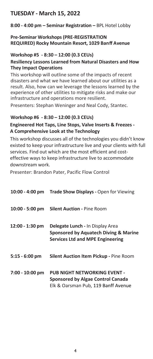## **TUESDAY - March 15, 2022**

**8:00 - 4:00 pm – Seminar Registration –** BPL Hotel Lobby

### **Pre-Seminar Workshops (PRE-REGISTRATION REQUIRED) Rocky Mountain Resort, 1029 Banff Avenue**

### **Workshop #5 - 8:30 – 12:00 (0.3 CEUs)**

#### **Resiliency Lessons Learned from Natural Disasters and How They Impact Operations**

This workshop will outline some of the impacts of recent disasters and what we have learned about our utilities as a result. Also, how can we leverage the lessons learned by the experience of other utilities to mitigate risks and make our infrastructure and operations more resilient.

Presenters: Stephan Weninger and Neal Cody, Stantec.

### **Workshop #6 - 8:30 – 12:00 (0.3 CEUs)**

### **Engineered Hot Taps, Line Stops, Valve Inserts & Freezes - A Comprehensive Look at the Technology**

This workshop discusses all of the technologies you didn't know existed to keep your infrastructure live and your clients with full services. Find out which are the most efficient and costeffective ways to keep infrastructure live to accommodate downstream work.

Presenter: Brandon Pater, Pacific Flow Control

|                   | 10:00 - 4:00 pm Trade Show Displays - Open for Viewing                                                                      |
|-------------------|-----------------------------------------------------------------------------------------------------------------------------|
| $10:00 - 5:00$ pm | <b>Silent Auction - Pine Room</b>                                                                                           |
| 12:00 - 1:30 pm   | <b>Delegate Lunch - In Display Area</b><br>Sponsored by Aquatech Diving & Marine<br><b>Services Ltd and MPE Engineering</b> |
| $5:15 - 6:00$ pm  | Silent Auction Item Pickup - Pine Room                                                                                      |
| $7:00 - 10:00$ pm | PUB NIGHT NETWORKING EVENT -<br>Sponsored by Algae Control Canada<br>Elk & Oarsman Pub, 119 Banff Avenue                    |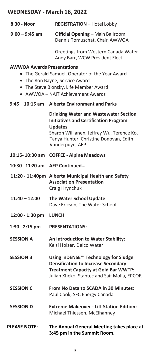## **WEDNESDAY - March 16, 2022**

| 8:30 - Noon                       | <b>REGISTRATION - Hotel Lobby</b>                                                                                                                                                                                        |
|-----------------------------------|--------------------------------------------------------------------------------------------------------------------------------------------------------------------------------------------------------------------------|
| $9:00 - 9:45$ am                  | <b>Official Opening - Main Ballroom</b><br>Dennis Tomuschat, Chair, AWWOA                                                                                                                                                |
|                                   | Greetings from Western Canada Water<br>Andy Barr, WCW President Elect                                                                                                                                                    |
| <b>AWWOA Awards Presentations</b> | • The Gerald Samuel, Operator of the Year Award<br>• The Ron Bayne, Service Award<br>• The Steve Blonsky, Life Member Award<br>• AWWOA - NAIT Achievement Awards                                                         |
| 9:45 – 10:15 am                   | <b>Alberta Environment and Parks</b>                                                                                                                                                                                     |
|                                   | <b>Drinking Water and Wastewater Section</b><br><b>Initiatives and Certification Program</b><br><b>Updates</b><br>Sharon Willianen, Jeffrey Wu, Terence Ko,<br>Tanya Hunter, Christine Donovan, Edith<br>Vanderpuye, AEP |
| 10:15-10:30 am                    | <b>COFFEE - Alpine Meadows</b>                                                                                                                                                                                           |
| 10:30 - 11:20 am                  | <b>AEP Continued</b>                                                                                                                                                                                                     |
|                                   | 11:20 - 11:40pm Alberta Municipal Health and Safety<br><b>Association Presentation</b><br>Craig Hrynchuk                                                                                                                 |
| $11:40 - 12:00$                   | The Water School Update<br>Dave Ericson, The Water School                                                                                                                                                                |
| 12:00 - 1:30 pm                   | <b>LUNCH</b>                                                                                                                                                                                                             |
| 1:30 - 2:15 pm                    | <b>PRESENTATIONS:</b>                                                                                                                                                                                                    |
| <b>SESSION A</b>                  | An Introduction to Water Stability:<br>Kelsi Holzer, Delco Water                                                                                                                                                         |
| <b>SESSION B</b>                  | Using inDENSE™ Technology for Sludge<br><b>Densification to Increase Secondary</b><br><b>Treatment Capacity at Gold Bar WWTP:</b><br>Julian Xheko, Stantec and Saif Molla, EPCOR                                         |
| <b>SESSION C</b>                  | From No Data to SCADA in 30 Minutes:<br>Paul Cook, SFC Energy Canada                                                                                                                                                     |
| <b>SESSION D</b>                  | <b>Extreme Makeover - Lift Station Edition:</b><br>Michael Thiessen, McElhanney                                                                                                                                          |
| <b>PLEASE NOTE:</b>               | The Annual General Meeting takes place at                                                                                                                                                                                |

**3:45 pm in the Summit Room.**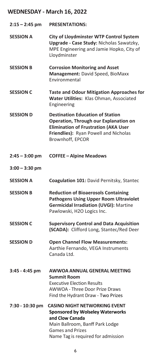## **WEDNESDAY - March 16, 2022**

| $2:15 - 2:45$ pm | <b>PRESENTATIONS:</b>                                                                                                                                                                                  |
|------------------|--------------------------------------------------------------------------------------------------------------------------------------------------------------------------------------------------------|
| <b>SESSION A</b> | <b>City of Lloydminster WTP Control System</b><br>Upgrade - Case Study: Nicholas Sawatzky,<br>MPE Engineering and Jamie Hopko, City of<br>Lloydminster                                                 |
| <b>SESSION B</b> | <b>Corrosion Monitoring and Asset</b><br>Management: David Speed, BioMaxx<br>Environmental                                                                                                             |
| <b>SESSION C</b> | <b>Taste and Odour Mitigation Approaches for</b><br>Water Utilities: Klas Ohman, Associated<br>Engineering                                                                                             |
| <b>SESSION D</b> | <b>Destination Education of Station</b><br>Operation, Through our Explanation on<br><b>Elimination of Frustration (AKA User</b><br>Friendlies): Ryan Powell and Nicholas<br>Brownhoff, EPCOR           |
| $2:45 - 3:00$ pm | <b>COFFEE - Alpine Meadows</b>                                                                                                                                                                         |
| $3:00 - 3:30$ pm |                                                                                                                                                                                                        |
| <b>SESSION A</b> | Coagulation 101: David Pernitsky, Stantec                                                                                                                                                              |
| <b>SESSION B</b> | <b>Reduction of Bioaerosols Containing</b><br><b>Pathogens Using Upper Room Ultraviolet</b><br><b>Germicidal Irradiation (UVGI): Martine</b><br>Pawlowski, H2O Logics Inc.                             |
| <b>SESSION C</b> | <b>Supervisory Control and Data Acquisition</b><br>(SCADA): Clifford Long, Stantec/Red Deer                                                                                                            |
| <b>SESSION D</b> | <b>Open Channel Flow Measurements:</b><br>Aarthie Fernando, VEGA Instruments<br>Canada I td.                                                                                                           |
| 3:45 - 4:45 pm   | AWWOA ANNUAL GENERAL MEETING<br><b>Summit Room</b><br><b>Executive Election Results</b><br>AWWOA - Three Door Prize Draws<br>Find the Hydrant Draw - Two Prizes                                        |
| 7:30 - 10:30 pm  | <b>CASINO NIGHT NETWORKING EVENT</b><br><b>Sponsored by Wolseley Waterworks</b><br>and Clow Canada<br>Main Ballroom, Banff Park Lodge<br><b>Games and Prizes</b><br>Name Tag is required for admission |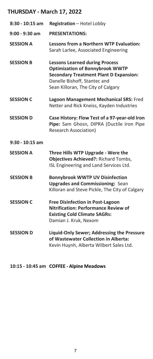| $8:30 - 10:15$ am | Registration - Hotel Lobby                                                                                                                                                                             |
|-------------------|--------------------------------------------------------------------------------------------------------------------------------------------------------------------------------------------------------|
| $9:00 - 9:30$ am  | <b>PRESENTATIONS:</b>                                                                                                                                                                                  |
| <b>SESSION A</b>  | Lessons from a Northern WTP Evaluation:<br>Sarah Larlee, Associated Engineering                                                                                                                        |
| <b>SESSION B</b>  | <b>Lessons Learned during Process</b><br><b>Optimization of Bonnybrook WWTP</b><br><b>Secondary Treatment Plant D Expansion:</b><br>Danelle Bishoff, Stantec and<br>Sean Killoran, The City of Calgary |
| <b>SESSION C</b>  | Lagoon Management Mechanical SRS: Fred<br>Netter and Rick Kneiss, Kayden Industries                                                                                                                    |
| <b>SESSION D</b>  | Case History: Flow Test of a 97-year-old Iron<br>Pipe: Sam Ghosn, DIPRA (Ductile Iron Pipe<br><b>Research Association)</b>                                                                             |
| $9:30 - 10:15$ am |                                                                                                                                                                                                        |
| <b>SESSION A</b>  | Three Hills WTP Upgrade - Were the<br><b>Objectives Achieved?: Richard Tombs,</b><br>ISL Engineering and Land Services Ltd.                                                                            |
| <b>SESSION B</b>  | <b>Bonnybrook WWTP UV Disinfection</b><br><b>Upgrades and Commissioning: Sean</b><br>Killoran and Steve Pickle, The City of Calgary                                                                    |
| <b>SESSION C</b>  | <b>Free Disinfection in Post-Lagoon</b><br><b>Nitrification: Performance Review of</b><br><b>Existing Cold Climate SAGRs:</b><br>Damian J. Kruk, Nexom                                                 |
| <b>SESSION D</b>  | Liquid-Only Sewer; Addressing the Pressure<br>of Wastewater Collection in Alberta:<br>Kevin Huynh, Alberta Wilbert Sales Ltd.                                                                          |

**10:15 - 10:45 am COFFEE - Alpine Meadows**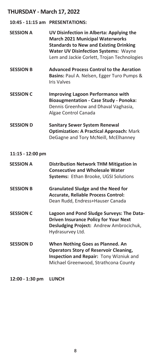|                  | 10:45 - 11:15 am PRESENTATIONS:                                                                                                                                                                                                   |
|------------------|-----------------------------------------------------------------------------------------------------------------------------------------------------------------------------------------------------------------------------------|
| <b>SESSION A</b> | UV Disinfection in Alberta: Applying the<br><b>March 2021 Municipal Waterworks</b><br><b>Standards to New and Existing Drinking</b><br><b>Water UV Disinfection Systems: Wayne</b><br>Lem and Jackie Corlett, Trojan Technologies |
| <b>SESSION B</b> | <b>Advanced Process Control to the Aeration</b><br>Basins: Paul A. Nelsen, Egger Turo Pumps &<br><b>Iris Valves</b>                                                                                                               |
| <b>SESSION C</b> | <b>Improving Lagoon Performance with</b><br><b>Bioaugmentation - Case Study - Ponoka:</b><br>Dennis Greenhow and Dhaval Vaghasia,<br>Algae Control Canada                                                                         |
| <b>SESSION D</b> | <b>Sanitary Sewer System Renewal</b><br><b>Optimization: A Practical Approach: Mark</b><br>DeGagne and Tory McNeill, McElhanney                                                                                                   |
| 11:15 - 12:00 pm |                                                                                                                                                                                                                                   |
| <b>SESSION A</b> | <b>Distribution Network THM Mitigation in</b><br><b>Consecutive and Wholesale Water</b><br>Systems: Ethan Brooke, UGSI Solutions                                                                                                  |
| <b>SESSION B</b> | <b>Granulated Sludge and the Need for</b><br>Accurate, Reliable Process Control:<br>Dean Rudd, Endress+Hauser Canada                                                                                                              |
| <b>SESSION C</b> | Lagoon and Pond Sludge Surveys: The Data-<br><b>Driven Insurance Policy for Your Next</b><br>Desludging Project: Andrew Ambrocichuk,<br>Hydrasurvey Ltd.                                                                          |
| <b>SESSION D</b> | When Nothing Goes as Planned. An<br><b>Operators Story of Reservoir Cleaning,</b><br>Inspection and Repair: Tony Wizniuk and<br>Michael Greenwood, Strathcona County                                                              |
|                  |                                                                                                                                                                                                                                   |

**12:00 - 1:30 pm LUNCH**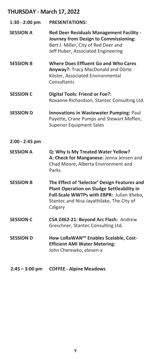| $1:30 - 2:00$ pm | <b>PRESENTATIONS:</b>                                                                                                                                                                           |
|------------------|-------------------------------------------------------------------------------------------------------------------------------------------------------------------------------------------------|
| <b>SESSION A</b> | Red Deer Residuals Management Facility -<br>Journey from Design to Commissioning:<br>Bert J. Miller, City of Red Deer and<br>Jeff Huber, Associated Engineering                                 |
| <b>SESSION B</b> | <b>Where Does Effluent Go and Who Cares</b><br>Anyway?: Tracy MacDonald and Dörte<br>Köster, Associated Environmental<br>Consultants                                                            |
| <b>SESSION C</b> | <b>Digital Tools: Friend or Foe?:</b><br>Roxanne Richardson, Stantec Consulting Ltd.                                                                                                            |
| <b>SESSION D</b> | Innovations in Wastewater Pumping: Paul<br>Payette, Crane Pumps and Stewart Meffen,<br><b>Superior Equipment Sales</b>                                                                          |
| 2:00 - 2:45 pm   |                                                                                                                                                                                                 |
| <b>SESSION A</b> | Q: Why Is My Treated Water Yellow?<br>A: Check for Manganese: Jenna Jensen and<br>Chad Moore, Alberta Environment and<br>Parks                                                                  |
| <b>SESSION B</b> | The Effect of 'Selector' Design Features and<br>Plant Operation on Sludge Settleability in<br>Full-Scale WWTPs with EBPR: Julian Xheko,<br>Stantec and Nisa Jayathilake, The City of<br>Calgary |
| <b>SESSION C</b> | CSA Z462-21: Beyond Arc Flash: Andrew<br>Greschner, Stantec Consulting Ltd.                                                                                                                     |
| <b>SESSION D</b> | How LoRaWAN™ Enables Scalable, Cost-<br><b>Efficient AMI Water Metering:</b><br>John Cherewko, eleven-x                                                                                         |
| $2:45 - 3:00$ pm | <b>COFFEE - Alpine Meadows</b>                                                                                                                                                                  |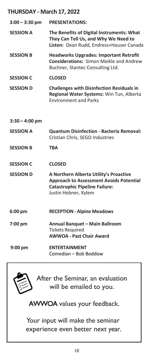| $3:00 - 3:30$ pm | <b>PRESENTATIONS:</b>                                                                                                                                     |
|------------------|-----------------------------------------------------------------------------------------------------------------------------------------------------------|
| <b>SESSION A</b> | The Benefits of Digital Instruments: What<br>They Can Tell Us, and Why We Need to<br>Listen: Dean Rudd, Endress+Hauser Canada                             |
| <b>SESSION B</b> | <b>Headworks Upgrades: Important Retrofit</b><br><b>Considerations: Simon Meikle and Andrew</b><br>Buchner, Stantec Consulting Ltd.                       |
| <b>SESSION C</b> | <b>CLOSED</b>                                                                                                                                             |
| <b>SESSION D</b> | <b>Challenges with Disinfection Residuals in</b><br>Regional Water Systems: Win Tun, Alberta<br><b>Environment and Parks</b>                              |
| $3:30 - 4:00$ pm |                                                                                                                                                           |
| <b>SESSION A</b> | <b>Quantum Disinfection - Bacteria Removal:</b><br>Cristian Chris, SEGO Industries                                                                        |
| <b>SESSION B</b> | TBA                                                                                                                                                       |
| <b>SESSION C</b> | <b>CLOSED</b>                                                                                                                                             |
| <b>SESSION D</b> | A Northern Alberta Utility's Proactive<br><b>Approach to Assessment Avoids Potential</b><br><b>Catastrophic Pipeline Failure:</b><br>Justin Hebner, Xylem |
| $6:00$ pm        | <b>RECEPTION - Alpine Meadows</b>                                                                                                                         |
| 7:00 pm          | Annual Banquet - Main Ballroom<br><b>Tickets Required</b><br><b>AWWOA - Past Chair Award</b>                                                              |
| $9:00$ pm        | <b>ENTERTAINMENT</b><br>Comedian – Bob Beddow                                                                                                             |



After the Seminar, an evaluation will be emailed to you.

AWWOA values your feedback.

Your input will make the seminar experience even better next year.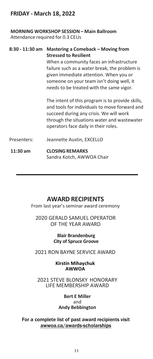## **FRIDAY - March 18, 2022**

### **MORNING WORKSHOP SESSION – Main Ballroom**

Attendance required for 0.3 CEUs

## **8:30 - 11:30 am Mastering a Comeback – Moving from Stressed to Resilient**

When a community faces an infrastructure failure such as a water break, the problem is given immediate attention. When you or someone on your team isn't doing well, it needs to be treated with the same vigor.

The intent of this program is to provide skills, and tools for individuals to move forward and succeed during any crisis. We will work through the situations water and wastewater operators face daily in their roles.

- Presenters: Jeannette Austin, EXCELLO
- **11:30 am CLOSINGREMARKS** Sandra Kotch, AWWOA Chair

## **AWARD RECIPIENTS**

From last year's seminar award ceremony

2020 GERALD SAMUEL OPERATOR OF THE YEAR AWARD

> **Blair Brandenburg City of Spruce Groove**

2021 RON BAYNE SERVICE AWARD

#### **Kirstin Mihaychuk AWWOA**

2021 STEVE BLONSKY HONORARY LIFE MEMBERSHIP AWARD

> **Bert E Miller** and **Andy Bebbington**

For a complete list of past award recipients visit awwoa.ca/awards-scholarships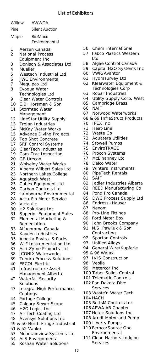#### **List of Exhibitors**

|          | Willow     | AWWOA                                                 |
|----------|------------|-------------------------------------------------------|
| Pine     |            | <b>Silent Auction</b>                                 |
|          | Maple      | BioMaxx<br>Environmental                              |
| 1        |            | Aerzen Canada                                         |
| 2        |            | National Process                                      |
| 3        |            | Equipment Inc<br>Donison & Associates Ltd             |
| 4        | Mueller    |                                                       |
| 5        |            | Westech Industrial Ltd                                |
| 6        |            | JWC Environmental                                     |
| 7        |            | Mequipco Ltd                                          |
| 8        |            | Evoqua Water<br>Technologies Ltd                      |
| 9        |            | Clear Water Controls                                  |
| 10       |            | E.B. Horsman & Son                                    |
| 11       |            | Stormtec Water                                        |
|          |            | Management                                            |
| 12       |            | LineStar Utility Supply                               |
| 13       |            | Trojan Industries                                     |
| 14<br>15 |            | McKay Water Works<br>Advance Diving Projects          |
| 16       |            | Top Shot Concrete                                     |
| 17       |            | SRP Control Systems                                   |
| 18       |            | ClearTech Industries                                  |
| 19       |            | Cam-Trac Inspection                                   |
| 20       | GF-Urecon  |                                                       |
| 21       |            | Wolseley Water Works                                  |
| 22<br>23 |            | Alberta Wilbert Sales Ltd<br>Northern Lakes College   |
| 24       |            | <b>Aquateck West</b>                                  |
| 25       |            | Cubex Equipment Ltd                                   |
| 26       |            | Carbon Controls Ltd                                   |
| 27       |            | Lambourne Environmental                               |
| 28       |            | Accu-Flo Meter Service                                |
| 29<br>30 | Victaulic  |                                                       |
| 31       |            | H2 Solutions Inc<br>Superior Equipment Sales          |
| 32       |            | Elemental Marketing &                                 |
|          |            | Remediation                                           |
| 33       |            | Alfagomma Canada                                      |
| 34       |            | Kayden Industries                                     |
| 35       |            | Alberta Enviro. & Parks                               |
| 36<br>37 |            | WJF Instrumentation Ltd<br>Acti-Zyme Products Ltd     |
| 38       |            | <b>ICONIX Waterworks</b>                              |
| 39       |            | Tundra Process Solutions                              |
| 40       |            | <b>EECOL Electric</b>                                 |
| 41       |            | Infrastructure Asset                                  |
|          |            | Management Alberta                                    |
| 42       |            | Waterfall Security                                    |
| 43       | Solutions  | Integral High Performance                             |
|          | Coatings   |                                                       |
| 44       |            | Portage College                                       |
| 45       |            | Calgary Sewer Scope                                   |
| 46       |            | H2O Logics Inc                                        |
| 47       |            | Ar-Tech Coating Ltd                                   |
| 48<br>49 |            | Avensys Solutions Inc<br>& 50 North Fringe Industrial |
| 51       | & 52 Vanko |                                                       |
|          |            |                                                       |

- Mountainview Systems Ltd
- ALS Environmental
- Roshan Water Solutions
- Chem International
- Fabco Plastics Western Ltd
- Algae Control Canada
- Capital H2O Systems Inc
- VWR/Avantor
- Hydrasurvey Ltd
- Klearwater Equipment & Technologies Corp
- Robar Industries
- Utility Supply Corp. West
- Cambridge Brass
- NAIT
- Norwood Waterworks
- 68 & 69 InfraStruct Products
- IPEX Inc
- Heat-Line
- Waste Go
- Aquatera Utilities
- Stowell Pumps
- EnviroTRACE
- Procon Systems
- McElhanney Ltd
- Delco Water
- Winters Instruments
- PipeTech Rentals
- SAIT
- Jadler Industries Alberta
- REED Manufacturing Co
- Pond Pro Canada
- DWG Process Supply Ltd
- Endress+Hauser
- Nexom
- Pro-Line Fittings
- Ford Meter Box
- John Brooks Company
- N.S. Pawliuk & Son Contracting
- Spartan Controls
- Unified Alloys
- General Wire/Kupferle
- 95 & 96 Wajax
- IVIS Construction
- Veolia
- Metercor Inc
- Taber Solids Control
- Telematic Controls
- Pan Dakota Dive Services
- Waste'n Water Tech
- HACH
- BettsM Controls Inc
- APWA AB Chapter
- Hetek Solutions Inc
- 108 Arndt Motor and Pump
- Liberty Pumps
- Fernco/Source One Environmental
- Clean Harbors Lodging Services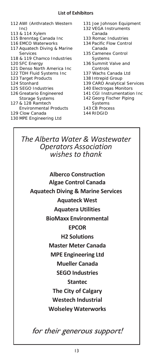- 112 AWI (Anthratech Western Inc)
- 113 & 114 Xylem
- 115 Brenntag Canada Inc
- 116 EMCO Waterworks
- 117 Aquatech Diving & Marine Services
- 118 & 119 Chamco Industries
- 120 SFC Energy
- 121 Denso North America Inc
- 122 TDH Fluid Systems Inc
- 123 Target Products
- 124 Stonhard
- 125 SEGO Industries
- 126 Greatario Engineered Storage Systems
- 127 & 128 Ramtech
- Environmental Products
- 129 Clow Canada
- 130 MPE Engineering Ltd
- 131 Joe Johnson Equipment
- 132 VEGA Instruments Canada
- 133 Romac Industries
- 134 Pacific Flow Control Canada
- 135 Camenex Control Systems
- 136 Summit Valve and Controls
- 137 Wachs Canada Ltd
- 138 Intrepid Group
- 139 CARO Analytical Services
- 140 Electrogas Monitors
- 141 CGI Instrumentation Inc
- 142 Georg Fischer Piping Systems
- 143 CB Process
- 144 RIDGID

*The Alberta Water & Wastewater Operators Association wishes to thank*

**Alberco Construction Algae Control Canada Aquatech Diving & Marine Services Aquateck West Aquatera Utilities BioMaxx Environmental EPCOR H2 Solutions Master Meter Canada MPE Engineering Ltd Mueller Canada SEGO Industries Stantec The City of Calgary Westech Industrial Wolseley Waterworks**

for their generous support!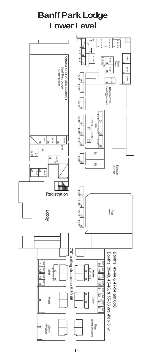## **Banff Park Lodge Lower Level**

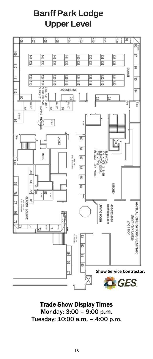## **Banff Park Lodge Upper Level**



Trade Show Display Times Monday: 3:00 – 9:00 p.m. Tuesday: 10:00 a.m. – 4:00 p.m.